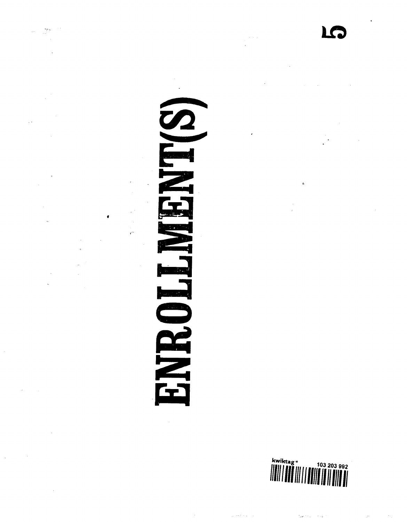$\begin{bmatrix} 1 & 0 \\ 0 & 0 \\ 0 & 0 \end{bmatrix}$  $\hat{\mathcal{A}}$ 

 $\hat{\mathcal{A}}$ 

 $\tilde{\mathcal{A}}$  $\frac{1}{2}$  $\mathbb{R}^2$ 

Ļ,  $\mathcal{A}$  $\bullet$  $\bar{\alpha}$ 

 $\mathcal{L}(\mathcal{A})$  and  $\mathcal{L}(\mathcal{A})$  $\mathbf{z}_i$ 

 $\hat{\mathcal{L}}$ 

 $\sim 10^{-1}$ 

 $\sim$  $\Delta \phi = 0.000$ 

 $\sim$ 

 $\sim$ 

 $\bar{\mathbf{z}}$ 

**A** 

 $\frac{1}{\epsilon^2}$ 

a a serie de la provincia del provincia del provincia del provincia del provincia del provincia del provincia <br>En la provincia del provincia del provincia del provincia del provincia del provincia del provincia del provinc RINE ۔<br>اع

 $\bar{\mathcal{A}}$  $\sim 10^{-10}$ 

 $\begin{aligned} \frac{1}{\sqrt{2}}\frac{1}{\sqrt{2}}\frac{1}{\sqrt{2}}\frac{1}{\sqrt{2}}\frac{1}{\sqrt{2}}\frac{1}{\sqrt{2}}\frac{1}{\sqrt{2}}\frac{1}{\sqrt{2}}\frac{1}{\sqrt{2}}\frac{1}{\sqrt{2}}\frac{1}{\sqrt{2}}\frac{1}{\sqrt{2}}\frac{1}{\sqrt{2}}\frac{1}{\sqrt{2}}\frac{1}{\sqrt{2}}\frac{1}{\sqrt{2}}\frac{1}{\sqrt{2}}\frac{1}{\sqrt{2}}\frac{1}{\sqrt{2}}\frac{1}{\sqrt{2}}\frac{1}{\sqrt{2}}\frac{1}{$ 

 $\sim 40$ 

 $\frac{1}{T}$  .

 $\label{eq:2.1} \frac{1}{2} \sum_{i=1}^n \frac{1}{2} \sum_{j=1}^n \frac{1}{2} \sum_{j=1}^n \frac{1}{2} \sum_{j=1}^n \frac{1}{2} \sum_{j=1}^n \frac{1}{2} \sum_{j=1}^n \frac{1}{2} \sum_{j=1}^n \frac{1}{2} \sum_{j=1}^n \frac{1}{2} \sum_{j=1}^n \frac{1}{2} \sum_{j=1}^n \frac{1}{2} \sum_{j=1}^n \frac{1}{2} \sum_{j=1}^n \frac{1}{2} \sum_{j=1}^n \frac{$ 



 $\Delta\omega$  to  $\omega$  , and  $\omega$  .

 $\sim 20\%$  ,  $\sim 10^{-2}$  Myr

 $\bullet$ 

 $\frac{1}{2} \frac{1}{2} \frac{1}{2} \frac{1}{2} \frac{1}{2} \frac{1}{2} \frac{1}{2} \frac{1}{2} \frac{1}{2} \frac{1}{2} \frac{1}{2} \frac{1}{2} \frac{1}{2} \frac{1}{2} \frac{1}{2} \frac{1}{2} \frac{1}{2} \frac{1}{2} \frac{1}{2} \frac{1}{2} \frac{1}{2} \frac{1}{2} \frac{1}{2} \frac{1}{2} \frac{1}{2} \frac{1}{2} \frac{1}{2} \frac{1}{2} \frac{1}{2} \frac{1}{2} \frac{1}{2} \frac{$  $\mathcal{A}_{\mathcal{A}}$ 

 $\mathcal{A}^{\mathcal{A}}$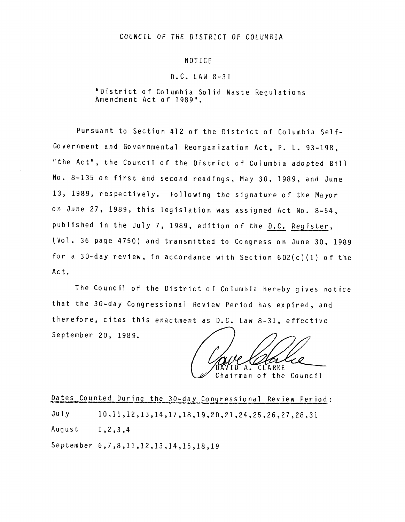### COUNCIL OF THE DISTRICT OF COLUMBIA

#### NOTICE

### D.C. LAW 8-31

"District of Columbia Solid Waste Regulations Amendment Act of 1989".

Pursuant to Section 412 of the District of Columbia Self-Government and Governmental Reorganization Act, P. L. 93-198, "the Act", the Council of the District of Columbia adopted Bill No. 8-135 on first and second readings, May 30, 1989, and June 13, 1989, respectively. Following the signature of the Mayor on June 27, 1989, this legislation was assigned Act No. 8-54, published in the July 7, 1989, edition of the D.C. Register, (Vol. 36 page 4750) and transmitted to Congress on June 30, 1989 for a 30-day review, in accordance with Section 602(c)(I) of the Act.

The Council of the District of Columbia hereby gives notice that the 30-day Congressional Review Period has expired, and therefore, cites this enactment as  $D.C.$  Law  $8-31$ , effective September 20, 1989.

 $A^{-}$ CLARKE

Chairman of the Council

Dates Counted During the 30-day Congressional Review Period: July 10,11,12,13,14,17,18,19,20,21,24,25,26,27,28,31 August 1,2,3,4 September 6,7,8,11,12,13,14,15,18,19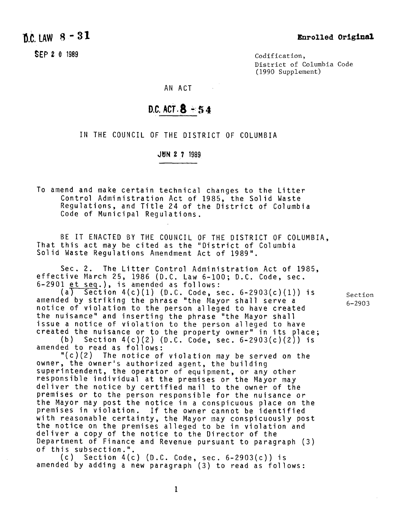# $D.C.$  LAW  $8 - 31$

SFP 2 0 1989

Codification. District of Columbia Code (1990 Supplement)

AN ACT  $\sim 10^{11}$  km

## D.C. ACT  $8 - 54$

IN THE COUNCIL OF THE DISTRICT OF COLUMBIA

**J~IN 2 ? 1989**

To amend and make certain technical changes to the Litter Control Administration Act of 1985, the Solid Waste Regulations, and Title 24 of the District of Columbia Code of Municipal Regulations.

BE IT ENACTED BY THE COUNCIL OF THE DISTRICT OF COLUMBIA, That this act may be cited as the "District of Columbia Solid Waste Regulations Amendment Act of 1989".

Sec. 2. The Litter Control Administration Act of 1985, effective March 25, 1986 (D.C. Law 6-100; D.C. Code, sec.  $6-2901$  et seq.), is amended as follows:

 $(a)$  Section 4(c)(1) (D.C. Code, sec. 6-2903(c)(1)) is amended by striking the phrase "the Mayor shall serve a notice of violation to the person alleged to have created the nuisance" and inserting the phrase "the Mayor shall issue a notice of violation to the person alleged to have created the nuisance or to the property owner" in its place;

(b) Section 4(c)(2) (D.C. Code, sec. 6-2903(c)(2)) is amended to read as follows:

"(c)(2) The notice of violation may be served on the owner, the owner's authorized agent, the building superintendent, the operator of equipment, or any other responsible individual at the premises or the Mayor may deliver the notice by certified mail to the owner of the premises or to the person responsible for the nuisance or the Mayor may post the notice in a conspicuous place on the premises in violation. If the owner cannot be identified with reasonable certainty, the Mayor may conspicuously post the notice on the premises alleged to be in violation and deliver a copy of the notice to the Director of the Department of Finance and Revenue pursuant to paragraph (3) of this subsection."

 $(c)$  Section 4(c) (D.C. Code, sec. 6-2903(c)) is amended by adding a new paragraph (3) to read as follows: Section 6-2903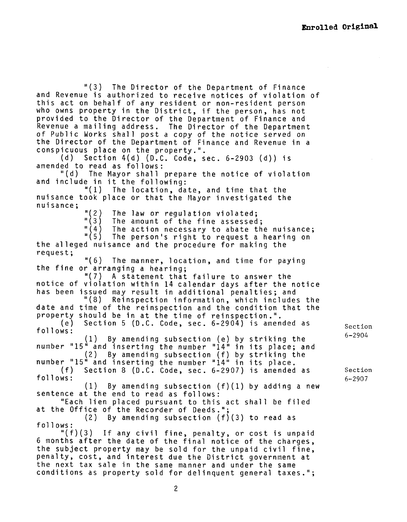"(3) The Director of the Department of Finance and Revenue is authorized to receive notices of violation of this act on behalf of any resident or non-resident person who owns property in the District, if the person, has not provided to the Director of the Department of Finance and Revenue a mailing address. The Director of the Department of Public Works shall post a copy of the notice served on the Director of the Department of Finance and Revenue in a conspicuous place on the property.".

(d) Section 4(d) (D.C. Code, sec. 6-2903 (d)) is amended to read as follows:

"(d) The Mayor shall prepare the notice of violation and include in it the following:

"(I) The location, date, and time that the nuisance took place or that the Mayor investigated the nuisance;

"(2) The law or regulation violated;<br>"(3) The amount of the fine assessed "(3) The amount of the fine assessed;<br>"(4) The action necessary to abate th "(4) The action necessary to abate the nuisance;<br>"(5) The person's right to request a hearing on The person's right to request a hearing on the alleged nuisance and the procedure for making the request; "(6) The manner, location, and time for paying the fine or arranging a hearing; "(7) A statement that failure to answer the notice of violation within 14 calendar days after the notice has been issued may result in additional penalties; and "(8) Reinspection information, which includes the date and time of the reinspection and the condition that the property should be in at the time of reinspection.". (e) Section 5 (D.C. Code, sec. 6-2904) is amended as follows: (I) By amending subsection (e) by striking the number "15" and inserting the number "14" in its place; and (2) By amending subsection (f) by striking the number "15" and inserting the number "14" in its place. (f) Section 8 (D.C. Code, sec. 6-2907) is amended as follows:  $(1)$  By amending subsection  $(f)(1)$  by adding a new sentence at the end to read as follows: "Each lien placed pursuant to this act shall be filed at the Office of the Recorder of Deeds."; (2) By amending subsection (f)(3) to read as follows: "(f)(3) If any civil fine, penalty, or cost is unpaid 6 months after the date of the final notice of the charges, the subject property may be sold for the unpaid civil fine, penalty, cost, and interest due the District government at the next tax sale in the same manner and under the same

Section 6-2904

Section 6-2907

conditions as property sold for delinquent general taxes.";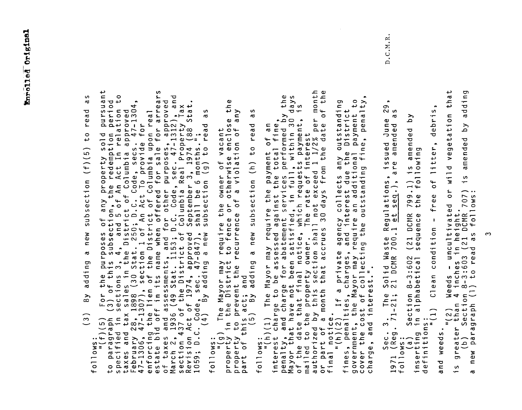comparagraph (3) for the purposes of any property sold pursuant<br>to paragraph (3) of this subsection, the redemption period<br>specified in sections 3, 4, and 5 of An Act In relation to<br>taxes and tax sales in the District of C  $\frac{1}{n}$  $\pmb{\mathsf{v}}$  $\circ$ S  $\mathbf{L}$ d  $\frac{1}{2}$  o  $\frac{1}{2}$  $\mathbf{\vec{a}}$  $\sigma$   $\sigma$  $\blacksquare$  $\mathbf{\omega}$  $\bullet$  $t -$ ರ  $\mathbf{\sigma}$  $\mathbf \omega$  $\tilde{\phantom{a}}$  $\circ$  $\overline{\phantom{a}}$  $\overline{5}$  $(f)$ ection  $\mathbf{v}$  $\circ$  $\overline{5}$  $\epsilon$  $\equiv$  $\mathbf{\sigma}$ <u>ත</u>  $\blacksquare$ —<br>ဗ ್ದ  $By$  $\infty$  $\frac{1}{(1+i)}$  $\ddot{\bm{z}}$  =  $\ddot{\circ}$  $\overline{\phantom{0}}$  $\circ$  $\leftarrow$ 

ηy **SC**  $\mathbf{\sigma}$  $rac{a}{s}$ subsection (h) to read follows:<br>property in the District to fence or otherwise enclo:<br>property in the District to fence or otherwise enclo:<br>property to prevent the recurrence of a violation of<br>part of this act; and<br>(5) By adding a new subsection

month<br>of the മശ  $55<sup>o</sup>$  $\overline{0}$  $30y$  $\overline{\mathbf{v}}$ , per<br>late o  $\bullet$ follows: ``<br>interest charge to be assessed against the payment of an<br>penalty, and charge for abatement services performed the<br>Mayor that have not been satisfied, in full, within 3(<br>of the date that final notice, which requ

 $\frac{t}{a}$  to  $\sigma$  $\tilde{z}$ outstandir<br>Pistrict<br>payment t<br>ne, no or part of a month that accrues ov uayon, wand in almotice, If a private agency collects any outines, penalties, charges, and interest due the Incover the cost of collectional prover the cost of collecting the an additiona

 $\bullet$  $\sigma$  $\sim$  $\mathbf{v}$ S  $\ddot{\circ}$  $\rightarrow$ debri  $\mathbf{v}$ <u>َم</u> issued Jun<br>are amended e d pd litter, s amer<br>owing 1) is ame<br>following  $\frac{1}{1}$ ste Regulations,<br>700.1 et seg.),  $\mathfrak{b}^{\mathsf{f}}$ Weeds - uncultivated or<br>4 inches in height.<br>on 8-3:603 (21 DCMR 707)<br>(1) to read as follows:  $\bullet$ free  $799$ . (21 DCMR<br>sequence  $\frac{1}{1}$ condition Solid Was 602<br>cal  $ion 8-3:6$  $\overline{a}$  $\overline{C}$ The<br>-21; Sec. 3.<br>
follows:<br>
follows:<br>
(a) Sectic<br>
inserting in alp<br>
definitions:<br>
definitions: Section  $\binom{n}{2}$ and weeds

 $D.C.M.R$ 

 $\infty$ 

ding

 $\bar{a}$ 

 $\overline{\mathsf{S}}$ 

amended

 $\frac{5}{1}$ 

Section<br>agraph (1

greater<br>(b)  $S_1$ 

S

 $\overline{\phantom{a}}$ 

paragra

new

 $\mathbf{\sigma}$ 

نڊ

a

 $\ddot{t}$ 

etation

or wild veg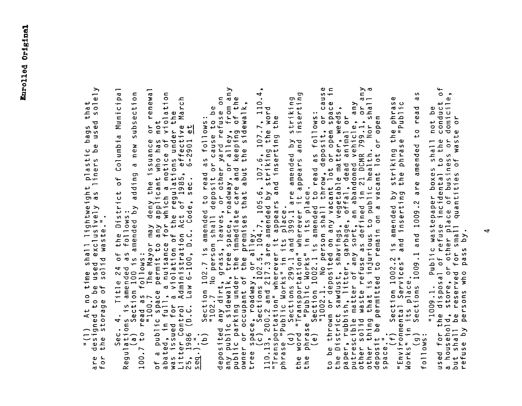$\frac{1}{2}$  and the state of the state of the state of the state of the state of the state of the state of the state of the presson lables, or other yards resonant the state of the presson lables, or other yards resonant pr  $\rightarrow$  $\omega$   $\subset$  $\overline{ }$  $\rightarrow$  $\overline{\bullet}$  $\blacksquare$  $\mathbf{r}$  $\sigma$  $\mathbf{\sigma}$  $\overline{0}$ 4  $\sim$   $\mathbf{\sigma}$ new  $\sim$  $\mathbf{r}$ sectio  $\leftrightarrow$   $$ ati نې  $\cdot$  $\sigma$   $\circ$  $\bullet$  $rac{6}{5}$  or  $\frac{1}{4}$  $\pmb{\omega}$  $\bullet$  $\sigma$  $\overline{a}$ viola ے  $\overline{a}$ Σ ರ  $\frac{1}{2}$ not ىب ; under 1<br>ffective<br>.2901 et **SP** ωŌ sub: .. 4. Title 24 of the District of Columbia Mons is amended as follows:<br>Ons is amended as follows:<br>Section 100 is amended by adding a new sut<br>"100.7 The Mayor may deny the issuance or<br>"100.7 The Mayor may deny the issuance **თო** ba<br>e<br>e  $\mathbf{\sigma}$ م ں  $\cdot$ ی د∔  $\omega$  s pla:<br>inei  $\overline{\phantom{a}}$ ى ہ ع თ დ  $\mathbf{r}$  $\omega$   $>$ ightwe<br>sively ulli<br>dexclus<br>dwaste e sa<br>sed<br>o 1 i  $\frac{1}{2}$  or  $\epsilon$  $\overline{t}$  $\frac{a}{c}$ مَ O ) At no<br>jned to<br>storage  $\frac{1}{2}$  $\overline{\mathbf{r}}$  $\sim$  50  $C_{0}$  i  $C_{1}$  o  $C_{2}$  i  $C_{3}$  o  $C_{4}$  $\overline{\phantom{a}}$   $\overline{\phantom{a}}$   $\overline{\phantom{a}}$   $\overline{\phantom{a}}$   $\overline{\phantom{a}}$  $\frac{1}{2}$ <br>  $\frac{1}{2}$ <br>  $\frac{1}{2}$ <br>  $\frac{1}{2}$ <br>  $\frac{1}{2}$ <br>  $\frac{1}{2}$ <br>  $\frac{1}{2}$ of a pu<br>abated,<br>was iss  $\frac{1}{4}$   $\frac{1}{4}$  $\frac{1}{5}$ ,  $\frac{1}{1}$ <br> $\frac{9}{1}$  $\overline{\phantom{0}}$ are<br>for 100  $\tilde{R}$ 

 $\mathfrak{h}$  $\mathbf{C}$  $\boldsymbol{\varsigma}$  $\bullet$  $\omega$ conduct<br>domicile  $\mathbf \omega$ ه not 1. Public wastepaper boxes shall<br>posal of refuse incidental to the<br>re, or other place of business or<br>erved for small quantities of wast<br>is who pass by. "1009.1.<br>the dispos<br>id, store,<br>le reserv or the<br>ehold,<br>all be  $\left(\begin{smallmatrix} 0 & 1 \\ 0 & 0 \\ 0 & 0 \end{smallmatrix}\right)$ a house<br>but sha<br>refuse  $0110w$  $\leftarrow$ ed<br>ed us جه

 $\mathbf{a}$ 

 $\ddot{\phantom{0}}$ 

 $\overline{0}$ 

r S

e<br>Po

 $\mathsf{S}$ 

 $\mathbf{S}_{\mathbf{r}}$ 

 $\overline{\circ}$ 

 $\mathbf \omega$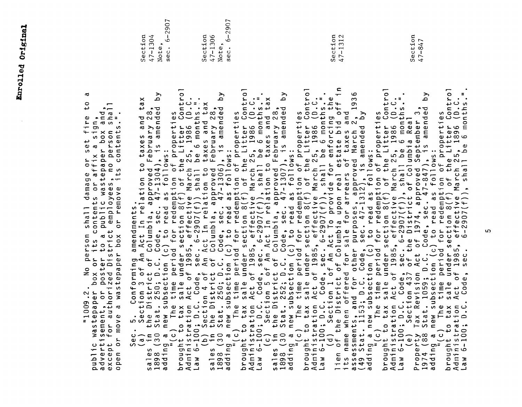2907  $6 - 2907$ Section<br>47-847 ِ<br>م Section 47-1306 Section  $\sim$ Section 47-1304  $7 - 131$ Note, Note, sec. sec.  $\mathcal{A}$ Sec. So: Confirming amendments: and the second and the second and the second and the second and the second of  $\{a, b\}$  and  $\{a, b\}$  and  $\{b, b\}$  and  $\{a, b\}$  and  $\{b, b\}$  and  $\{b, b\}$  and  $\{b, b\}$  and  $\{b, b\}$  and ser Control<br>1986 (D.C.<br>6 months."<br>3 Real  $\mathbf{C}$ ss<br>Contro  $\cdot$  =  $\bullet$ Control<br>D.C.  $\cdot$ <sup>=</sup>  $\mathsf{S}$  $\mathbf{z}$  $\circ$  $\circ$  $\circ$  $\mathbf{y}$  $\bullet$  $\rightarrow$ ದ  $\circ$  $\overline{ }$ ى  $\sim$ ರ <sub>ನ</sub>  $\bullet$   $\leq$   $\leq$   $\approx$  $\mathbf \omega$ sign  $\overline{a}$   $\overline{b}$  $\blacktriangle$ ÷ ທ No person shall damage or set f<br>box or its contents or affix a sig<br>poster to a public wastepaper box<br>zed District employees, no person<br>tepaper box or remove its content: c wastepaper p<br>tisement, or p<br>t for authoriz ທ "1009.2.<br>tepaper уā ದ Φ  $\geq$  $\sum_{i=1}^{n}$ ے ublic<br>Idverti except<br>open or  $\overline{a}$  $\overline{a}$  $\Omega$  $\alpha$ 

ဖာ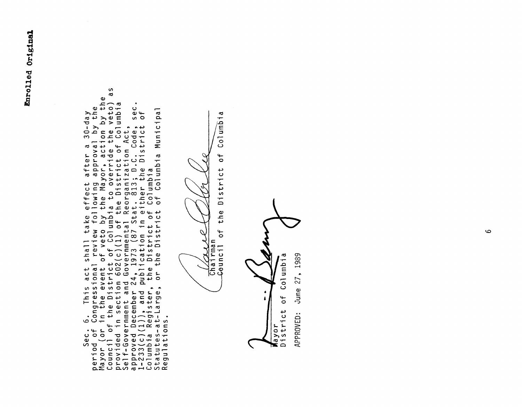period of Congressional review following approval by the Mayor (or in the event of veto by the Mayor, action by the Council of the District of Columbia to override the veto) as provided in section 602(c)(1) of the District  $\bullet$  $\ddot{\circ}$ 

Chairman<br>Chairman<br>Geuncil c

 $Columbia$ District of the  $\mathfrak{h}$ 

June 27, 1989 Columbia  $\overline{5}$ District APPROVED: ayor

 $\mathbf{o}$